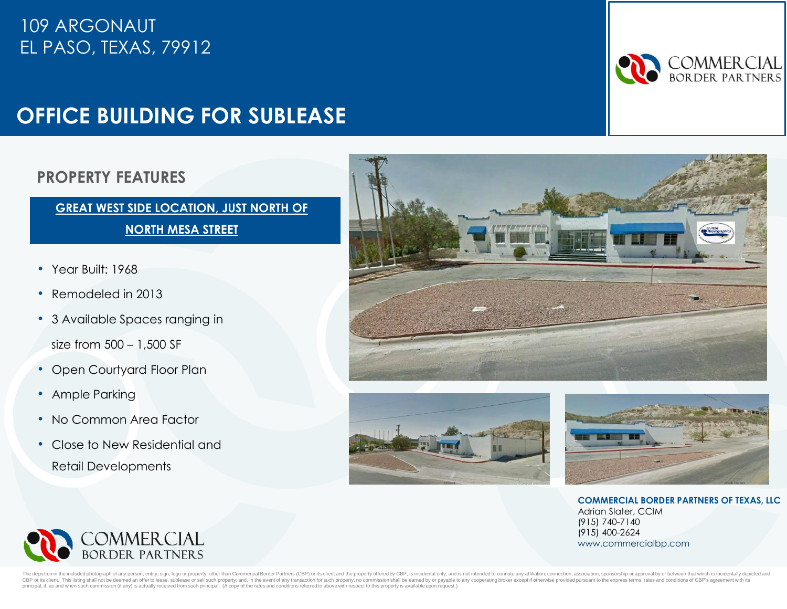## 109 ARGONAUT EL PASO, TEXAS, 79912

# **OFFICE BUILDING FOR SUBLEASE**

#### **PROPERTY FEATURES**

#### **GREAT WEST SIDE LOCATION, JUST NORTH OF NORTH MESA STREET**

- Year Built: 1968
- Remodeled in 2013
- 3 Available Spaces ranging in

size from 500 – 1,500 SF

- Open Courtyard Floor Plan
- Ample Parking
- No Common Area Factor
- Close to New Residential and Retail Developments







**COMMERCIAL BORDER PARTNERS OF TEXAS, LLC** Adrian Slater, CCIM (915) 740-7140 (915) 400-2624 www.commercialbp.com



n in the included photograph of any person, entity, sign, logo or property, other than Commercial Border Partners (CBP) or its client and the property offered by CBP, is incidental only, and is not intended to connote any CBP or its client. This listing shall not be deemed an offer to lease, sublease or sell such property; and, in the event of any transaction for such property, no commission shall be earned by or payable to any cooperating principal, if, as and when such commission (if any) is actually received from such principal. (A copy of the rates and conditions referred to above with respect to this property is available upon request.)